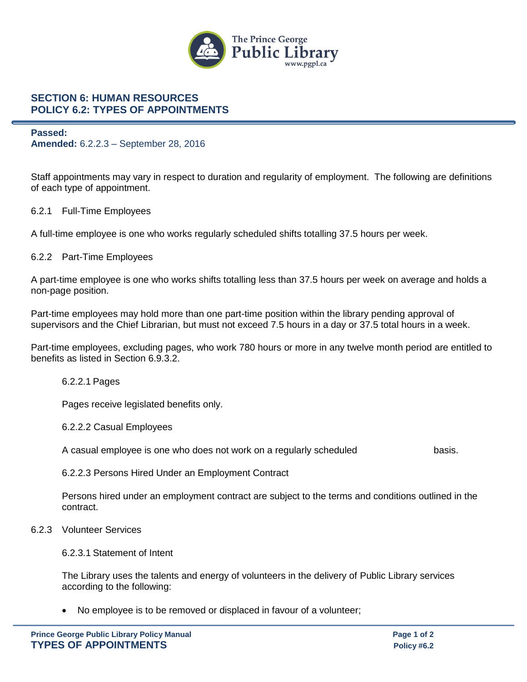

## **SECTION 6: HUMAN RESOURCES POLICY 6.2: TYPES OF APPOINTMENTS**

#### **Passed: Amended:** 6.2.2.3 – September 28, 2016

Staff appointments may vary in respect to duration and regularity of employment. The following are definitions of each type of appointment.

## 6.2.1 Full-Time Employees

A full-time employee is one who works regularly scheduled shifts totalling 37.5 hours per week.

## 6.2.2 Part-Time Employees

A part-time employee is one who works shifts totalling less than 37.5 hours per week on average and holds a non-page position.

Part-time employees may hold more than one part-time position within the library pending approval of supervisors and the Chief Librarian, but must not exceed 7.5 hours in a day or 37.5 total hours in a week.

Part-time employees, excluding pages, who work 780 hours or more in any twelve month period are entitled to benefits as listed in Section 6.9.3.2.

#### 6.2.2.1 Pages

Pages receive legislated benefits only.

#### 6.2.2.2 Casual Employees

A casual employee is one who does not work on a regularly scheduled basis.

6.2.2.3 Persons Hired Under an Employment Contract

Persons hired under an employment contract are subject to the terms and conditions outlined in the contract.

#### 6.2.3 Volunteer Services

6.2.3.1 Statement of Intent

The Library uses the talents and energy of volunteers in the delivery of Public Library services according to the following:

No employee is to be removed or displaced in favour of a volunteer;